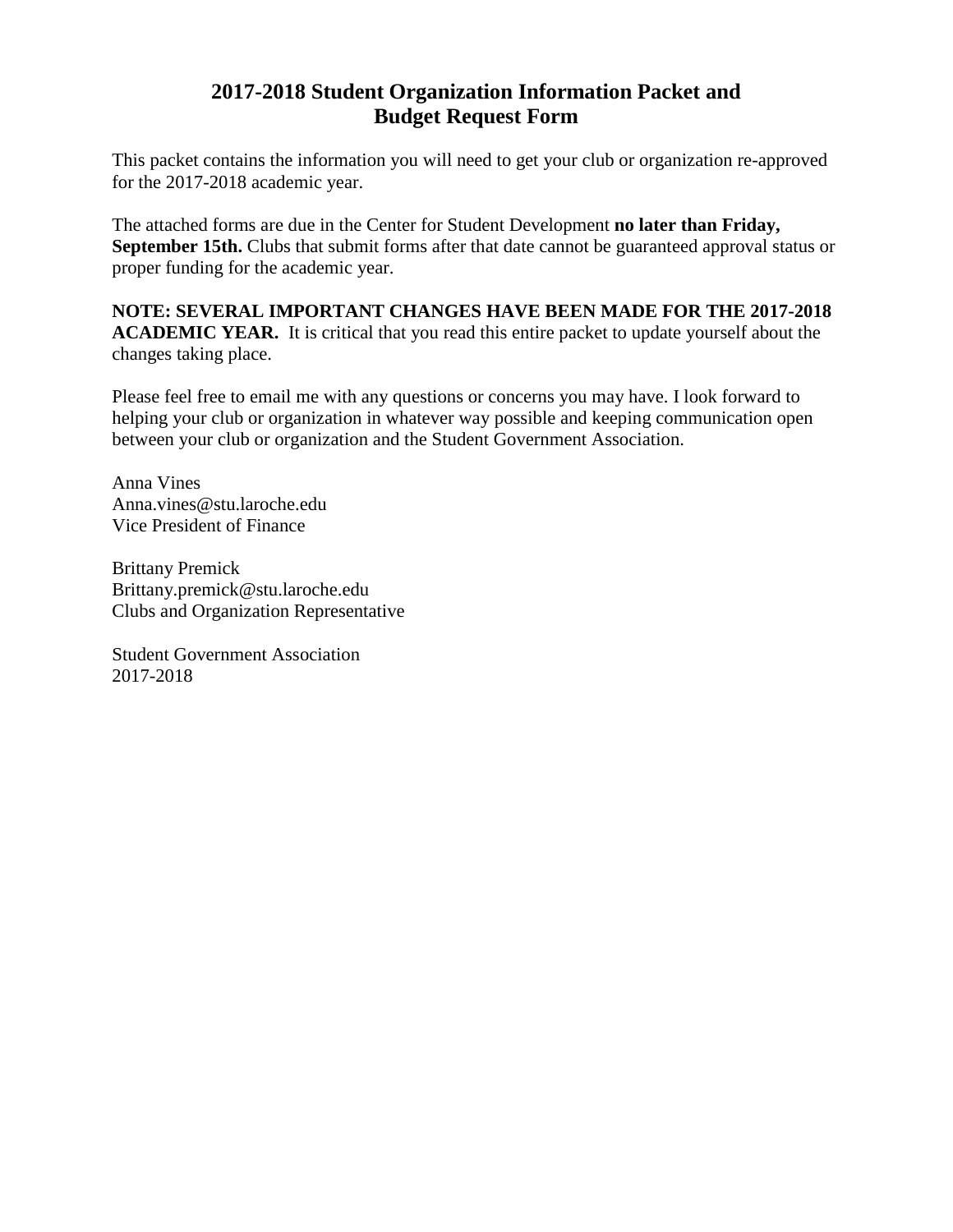## **2017-2018 Student Organization Information Packet and Budget Request Form**

This packet contains the information you will need to get your club or organization re-approved for the 2017-2018 academic year.

The attached forms are due in the Center for Student Development **no later than Friday,** September 15th. Clubs that submit forms after that date cannot be guaranteed approval status or proper funding for the academic year.

**NOTE: SEVERAL IMPORTANT CHANGES HAVE BEEN MADE FOR THE 2017-2018 ACADEMIC YEAR.** It is critical that you read this entire packet to update yourself about the changes taking place.

Please feel free to email me with any questions or concerns you may have. I look forward to helping your club or organization in whatever way possible and keeping communication open between your club or organization and the Student Government Association.

Anna Vines Anna.vines@stu.laroche.edu Vice President of Finance

Brittany Premick Brittany.premick@stu.laroche.edu Clubs and Organization Representative

Student Government Association 2017-2018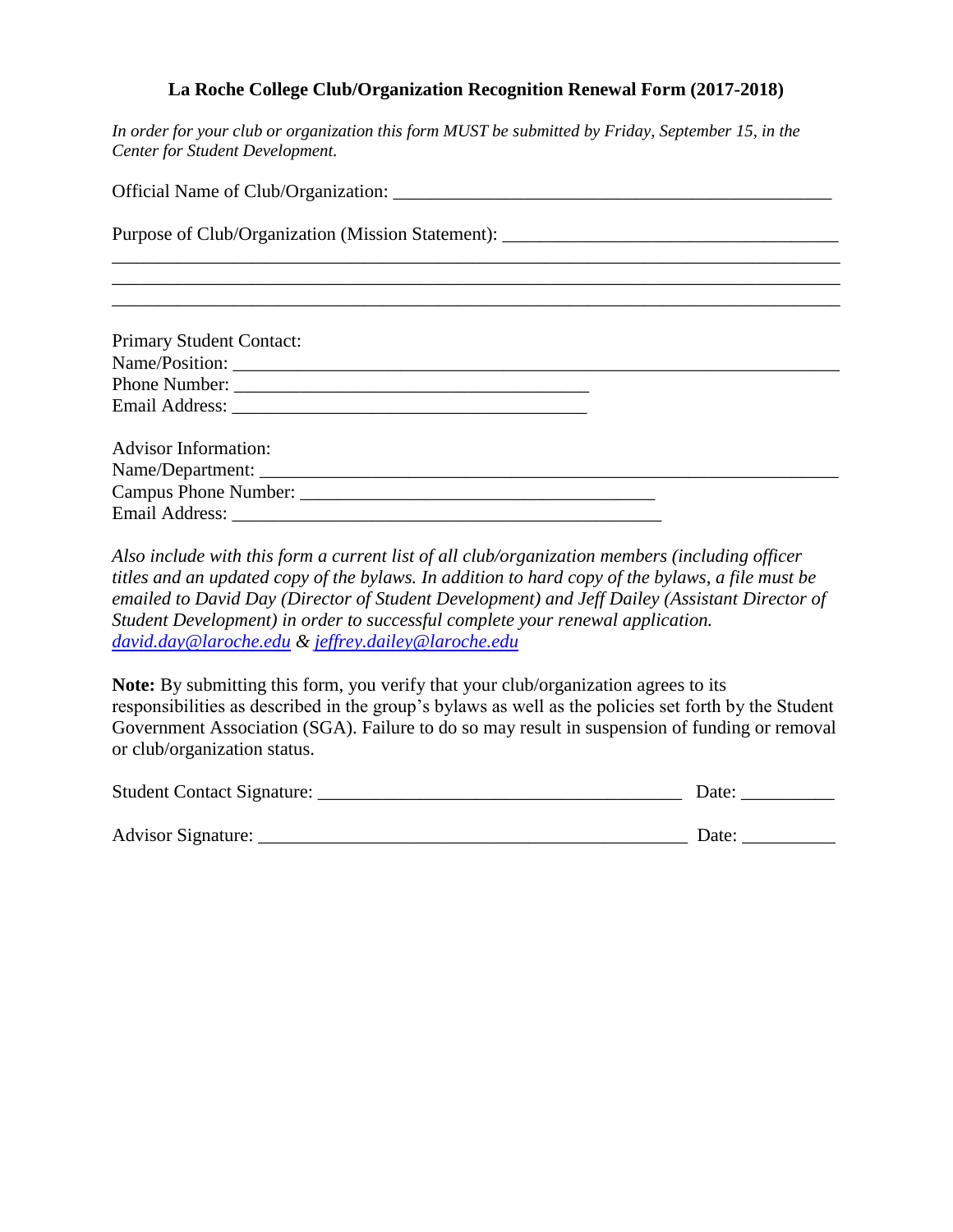#### **La Roche College Club/Organization Recognition Renewal Form (2017-2018)**

*In order for your club or organization this form MUST be submitted by Friday, September 15, in the Center for Student Development.*

| Purpose of Club/Organization (Mission Statement): _______________________________                                                                                                                                             |  |  |  |  |  |
|-------------------------------------------------------------------------------------------------------------------------------------------------------------------------------------------------------------------------------|--|--|--|--|--|
|                                                                                                                                                                                                                               |  |  |  |  |  |
|                                                                                                                                                                                                                               |  |  |  |  |  |
| Primary Student Contact:                                                                                                                                                                                                      |  |  |  |  |  |
|                                                                                                                                                                                                                               |  |  |  |  |  |
|                                                                                                                                                                                                                               |  |  |  |  |  |
| Email Address: 2008 and 2008 and 2008 and 2008 and 2008 and 2008 and 2008 and 2008 and 2008 and 2008 and 2008 and 2008 and 2008 and 2008 and 2008 and 2008 and 2008 and 2008 and 2008 and 2008 and 2008 and 2008 and 2008 and |  |  |  |  |  |
| <b>Advisor Information:</b>                                                                                                                                                                                                   |  |  |  |  |  |
|                                                                                                                                                                                                                               |  |  |  |  |  |
|                                                                                                                                                                                                                               |  |  |  |  |  |
|                                                                                                                                                                                                                               |  |  |  |  |  |

*Also include with this form a current list of all club/organization members (including officer titles and an updated copy of the bylaws. In addition to hard copy of the bylaws, a file must be emailed to David Day (Director of Student Development) and Jeff Dailey (Assistant Director of Student Development) in order to successful complete your renewal application. [david.day@laroche.edu](mailto:david.day@laroche.edu) & [jeffrey.dailey@laroche.edu](mailto:jeffrey.dailey@laroche.edu)*

**Note:** By submitting this form, you verify that your club/organization agrees to its responsibilities as described in the group's bylaws as well as the policies set forth by the Student Government Association (SGA). Failure to do so may result in suspension of funding or removal or club/organization status.

| Student Contact Signature: | Date: |
|----------------------------|-------|
|                            |       |
| Advisor Signature:         | Date: |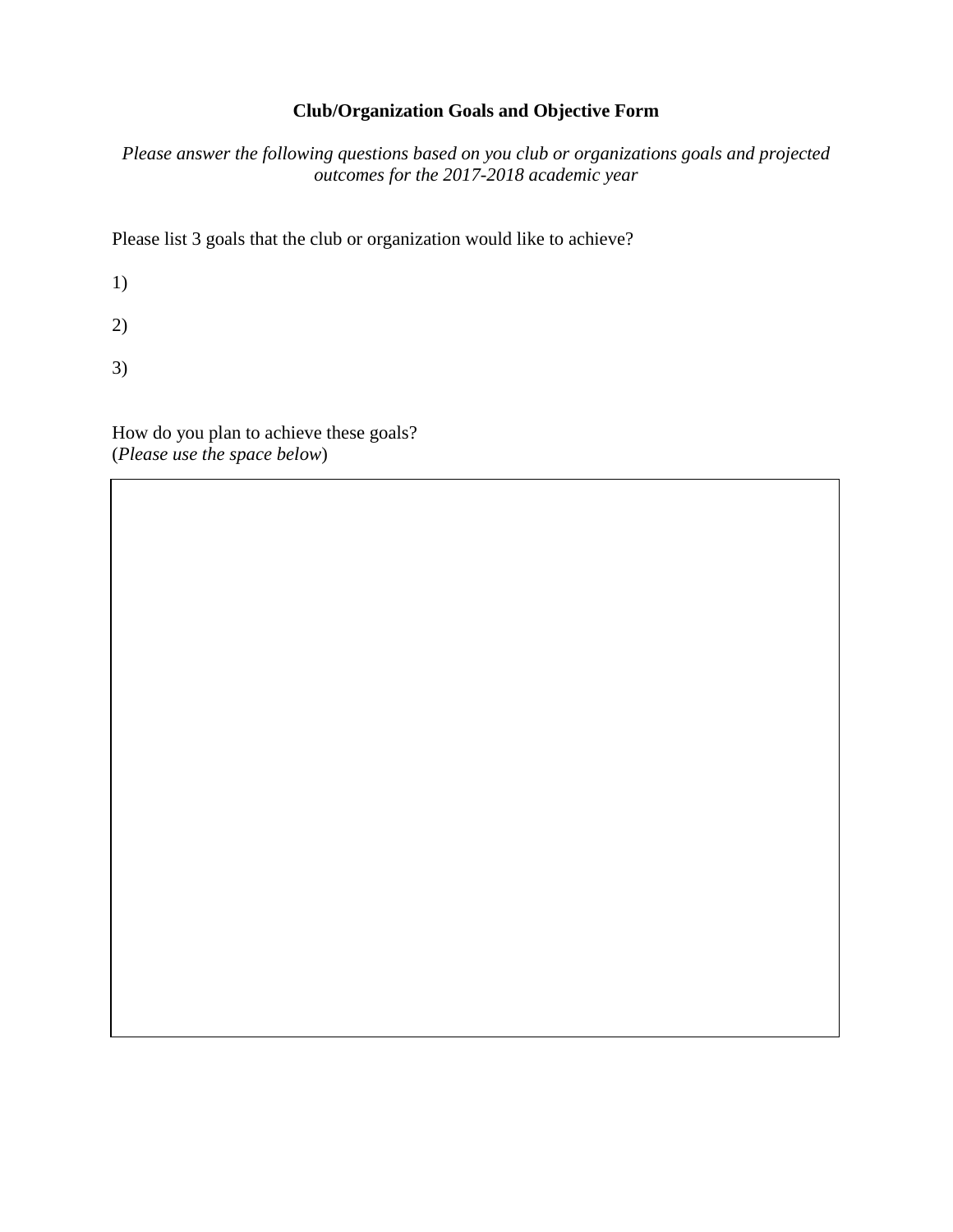#### **Club/Organization Goals and Objective Form**

*Please answer the following questions based on you club or organizations goals and projected outcomes for the 2017-2018 academic year*

Please list 3 goals that the club or organization would like to achieve?

1)

2)

3)

How do you plan to achieve these goals? (*Please use the space below*)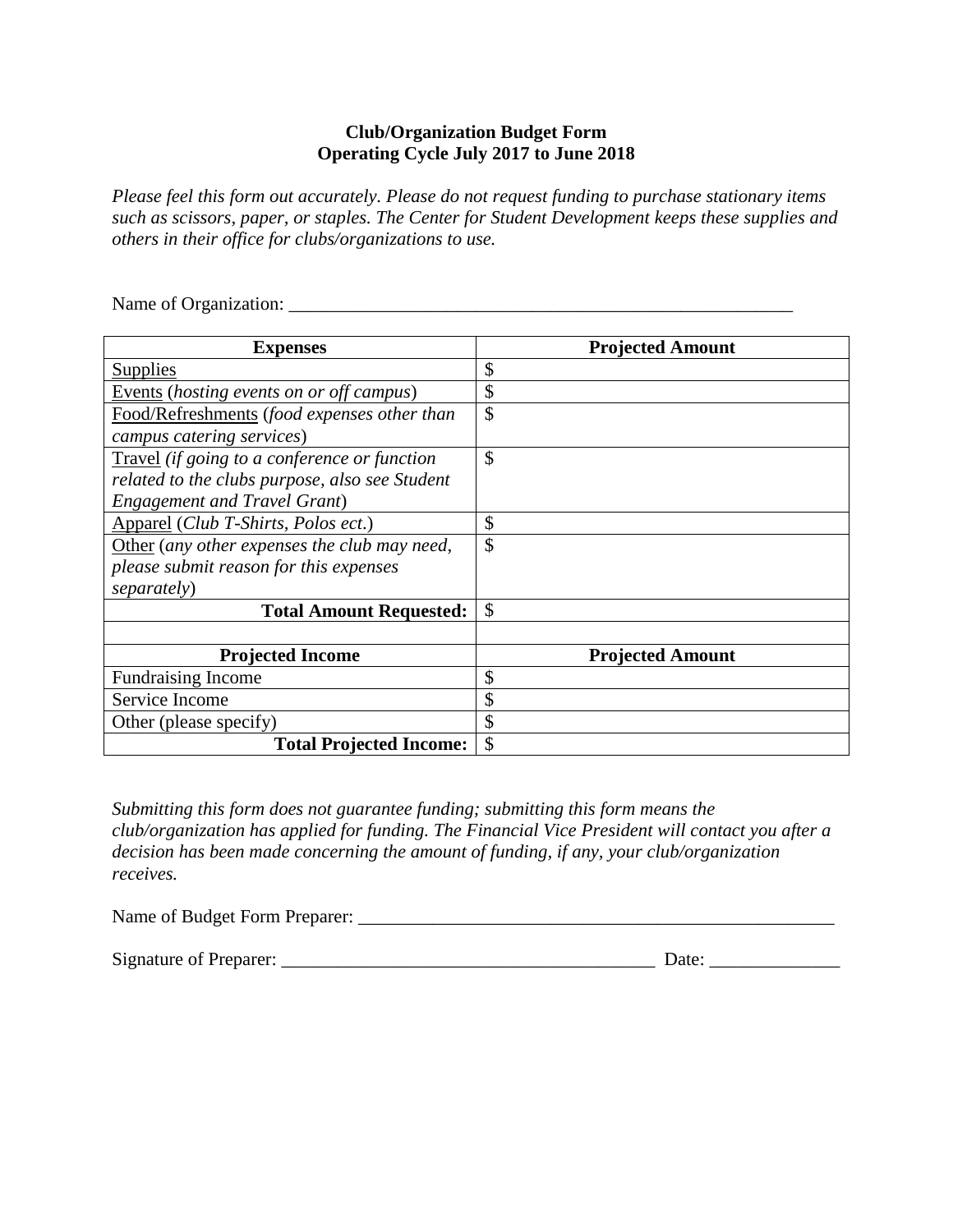#### **Club/Organization Budget Form Operating Cycle July 2017 to June 2018**

*Please feel this form out accurately. Please do not request funding to purchase stationary items such as scissors, paper, or staples. The Center for Student Development keeps these supplies and others in their office for clubs/organizations to use.* 

Name of Organization: \_\_\_\_\_\_\_\_\_\_\_\_\_\_\_\_\_\_\_\_\_\_\_\_\_\_\_\_\_\_\_\_\_\_\_\_\_\_\_\_\_\_\_\_\_\_\_\_\_\_\_\_\_\_

| <b>Expenses</b>                                | <b>Projected Amount</b> |
|------------------------------------------------|-------------------------|
| Supplies                                       | $\mathcal{S}$           |
| Events (hosting events on or off campus)       | \$                      |
| Food/Refreshments (food expenses other than    | $\mathcal{S}$           |
| campus catering services)                      |                         |
| Travel (if going to a conference or function   | $\mathcal{S}$           |
| related to the clubs purpose, also see Student |                         |
| <b>Engagement and Travel Grant)</b>            |                         |
| Apparel (Club T-Shirts, Polos ect.)            | \$                      |
| Other (any other expenses the club may need,   | $\mathcal{S}$           |
| please submit reason for this expenses         |                         |
| separately)                                    |                         |
| <b>Total Amount Requested:</b>                 | $\mathcal{S}$           |
|                                                |                         |
| <b>Projected Income</b>                        | <b>Projected Amount</b> |
| <b>Fundraising Income</b>                      | \$                      |
| Service Income                                 | \$                      |
| Other (please specify)                         | \$                      |
| <b>Total Projected Income:</b>                 | \$                      |

*Submitting this form does not guarantee funding; submitting this form means the club/organization has applied for funding. The Financial Vice President will contact you after a decision has been made concerning the amount of funding, if any, your club/organization receives.* 

| Name of Budget Form Preparer: |  |
|-------------------------------|--|
|                               |  |

Signature of Preparer: \_\_\_\_\_\_\_\_\_\_\_\_\_\_\_\_\_\_\_\_\_\_\_\_\_\_\_\_\_\_\_\_\_\_\_\_\_\_\_\_ Date: \_\_\_\_\_\_\_\_\_\_\_\_\_\_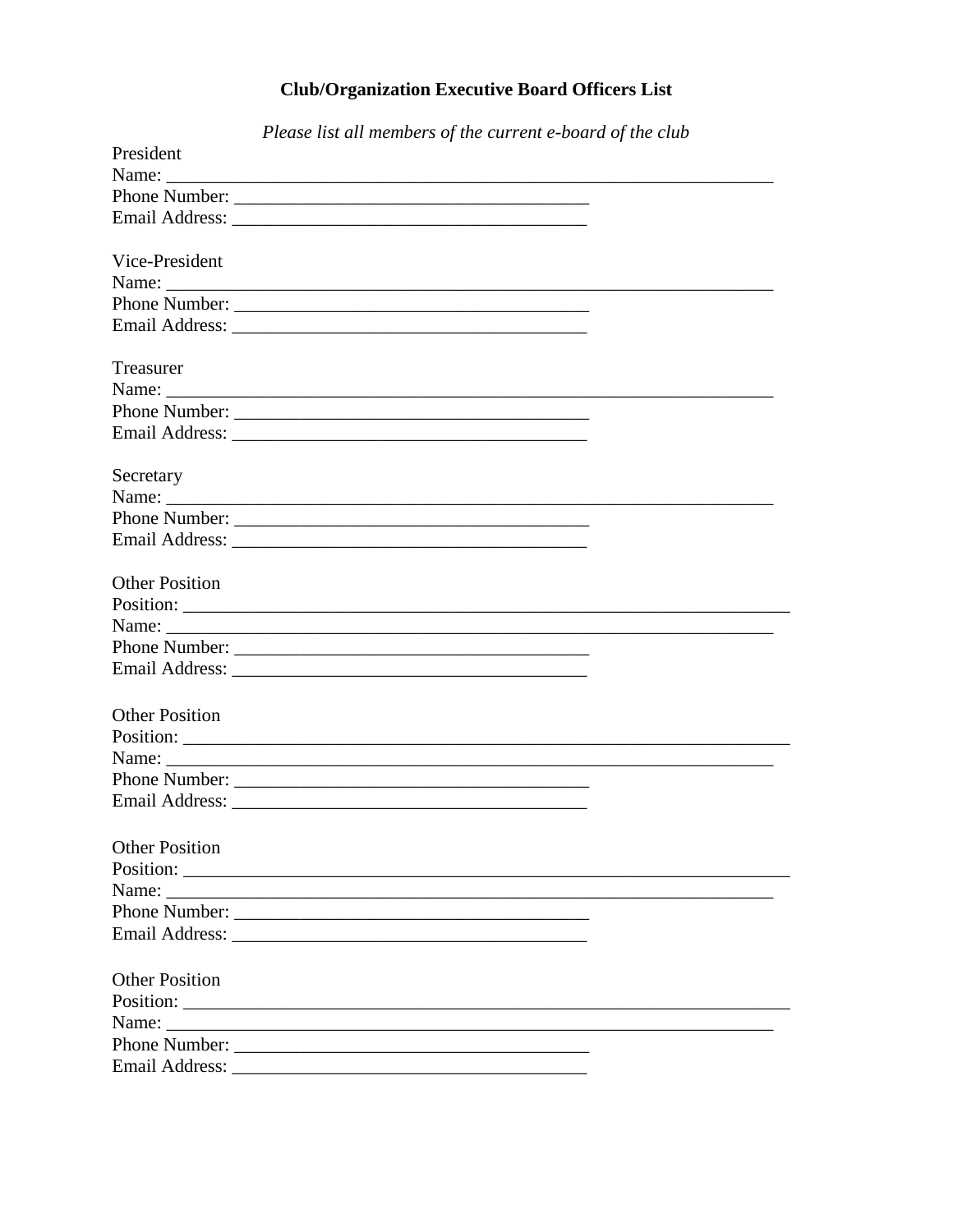# **Club/Organization Executive Board Officers List**

|                       | Please list all members of the current e-board of the club |  |
|-----------------------|------------------------------------------------------------|--|
| President             |                                                            |  |
|                       |                                                            |  |
|                       |                                                            |  |
|                       |                                                            |  |
|                       |                                                            |  |
| Vice-President        |                                                            |  |
|                       |                                                            |  |
|                       |                                                            |  |
|                       |                                                            |  |
|                       |                                                            |  |
| Treasurer             |                                                            |  |
|                       |                                                            |  |
|                       |                                                            |  |
|                       |                                                            |  |
|                       |                                                            |  |
| Secretary             |                                                            |  |
|                       |                                                            |  |
|                       |                                                            |  |
|                       |                                                            |  |
|                       |                                                            |  |
| <b>Other Position</b> |                                                            |  |
|                       |                                                            |  |
|                       | Name:                                                      |  |
|                       |                                                            |  |
|                       |                                                            |  |
|                       |                                                            |  |
| <b>Other Position</b> |                                                            |  |
|                       |                                                            |  |
|                       |                                                            |  |
|                       |                                                            |  |
| <b>Email Address:</b> |                                                            |  |
|                       |                                                            |  |
|                       |                                                            |  |
| <b>Other Position</b> |                                                            |  |
|                       |                                                            |  |
|                       |                                                            |  |
|                       |                                                            |  |
|                       |                                                            |  |
| <b>Other Position</b> |                                                            |  |
|                       |                                                            |  |
|                       |                                                            |  |
|                       |                                                            |  |
|                       | Phone Number:                                              |  |
|                       |                                                            |  |